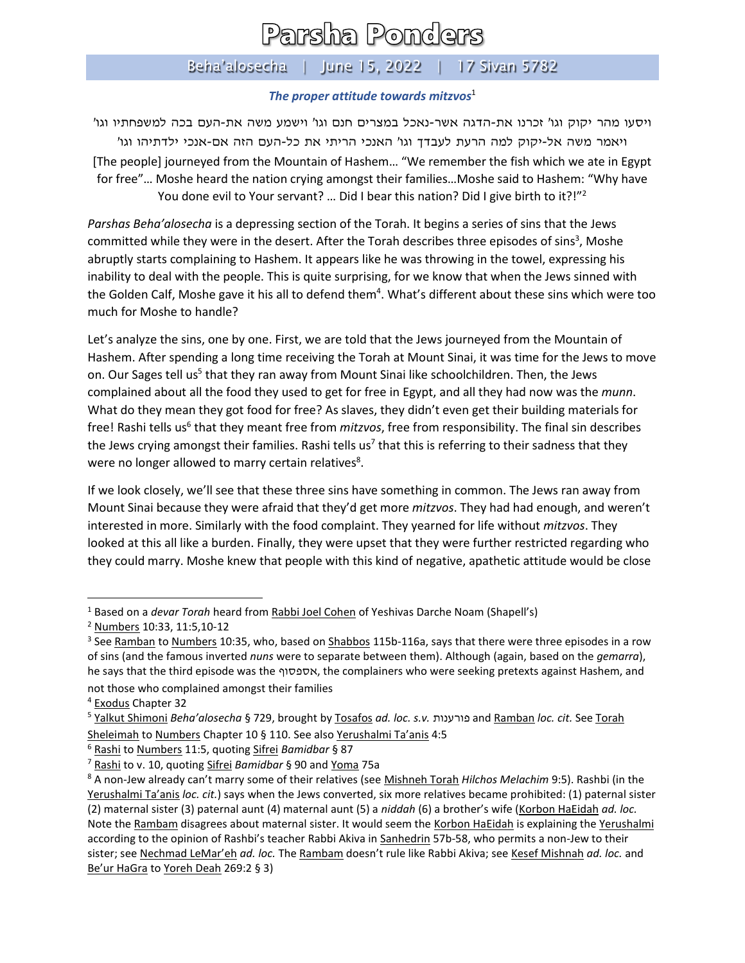## Parsha Ponders

## Beha'alosecha | June 15, 2022 | 17 Sivan 5782

## *The proper attitude towards mitzvos*<sup>1</sup>

ויסעו מהר יקוק וגו' זכרנו את-הדגה אשר-נאכל במצרים חנם וגו' וישמע משה את- העם בכה למשפחתיו וגו' ויאמר משה אל-יקוק למה הרעת לעבדך וגו' האנכי הריתי את כל-העם הזה אם-אנכי ילדתיהו וגו' [The people] journeyed from the Mountain of Hashem… "We remember the fish which we ate in Egypt for free"… Moshe heard the nation crying amongst their families…Moshe said to Hashem: "Why have You done evil to Your servant? ... Did I bear this nation? Did I give birth to it?!"<sup>2</sup>

*Parshas Beha'alosecha* is a depressing section of the Torah. It begins a series of sins that the Jews committed while they were in the desert. After the Torah describes three episodes of sins<sup>3</sup>, Moshe abruptly starts complaining to Hashem. It appears like he was throwing in the towel, expressing his inability to deal with the people. This is quite surprising, for we know that when the Jews sinned with the Golden Calf, Moshe gave it his all to defend them<sup>4</sup>. What's different about these sins which were too much for Moshe to handle?

Let's analyze the sins, one by one. First, we are told that the Jews journeyed from the Mountain of Hashem. After spending a long time receiving the Torah at Mount Sinai, it was time for the Jews to move on. Our Sages tell us<sup>5</sup> that they ran away from Mount Sinai like schoolchildren. Then, the Jews complained about all the food they used to get for free in Egypt, and all they had now was the *munn*. What do they mean they got food for free? As slaves, they didn't even get their building materials for free! Rashi tells us<sup>6</sup> that they meant free from *mitzvos*, free from responsibility. The final sin describes the Jews crying amongst their families. Rashi tells us<sup>7</sup> that this is referring to their sadness that they were no longer allowed to marry certain relatives<sup>8</sup>.

If we look closely, we'll see that these three sins have something in common. The Jews ran away from Mount Sinai because they were afraid that they'd get more *mitzvos*. They had had enough, and weren't interested in more. Similarly with the food complaint. They yearned for life without *mitzvos*. They looked at this all like a burden. Finally, they were upset that they were further restricted regarding who they could marry. Moshe knew that people with this kind of negative, apathetic attitude would be close

<sup>1</sup> Based on a *devar Torah* heard from Rabbi Joel Cohen of Yeshivas Darche Noam (Shapell's)

<sup>2</sup> Numbers 10:33, 11:5,10-12

<sup>&</sup>lt;sup>3</sup> See <u>Ramban</u> to <u>Numbers</u> 10:35, who, based on Shabbos 115b-116a, says that there were three episodes in a row of sins (and the famous inverted *nuns* were to separate between them). Although (again, based on the *gemarra*), he says that the third episode was the אספסוף, the complainers who were seeking pretexts against Hashem, and not those who complained amongst their families

<sup>4</sup> Exodus Chapter 32

<sup>5</sup> Yalkut Shimoni *Beha'alosecha* § 729, brought by Tosafos *ad. loc. s.v.* פורענות and Ramban *loc. cit.* See Torah Sheleimah to Numbers Chapter 10 § 110. See also Yerushalmi Ta'anis 4:5

<sup>6</sup> Rashi to Numbers 11:5, quoting Sifrei *Bamidbar* § 87

<sup>7</sup> Rashi to v. 10, quoting Sifrei *Bamidbar* § 90 and Yoma 75a

<sup>8</sup> A non-Jew already can't marry some of their relatives (see Mishneh Torah *Hilchos Melachim* 9:5). Rashbi (in the Yerushalmi Ta'anis *loc. cit.*) says when the Jews converted, six more relatives became prohibited: (1) paternal sister (2) maternal sister (3) paternal aunt (4) maternal aunt (5) a *niddah* (6) a brother's wife (Korbon HaEidah *ad. loc.* Note the Rambam disagrees about maternal sister. It would seem the Korbon HaEidah is explaining the Yerushalmi according to the opinion of Rashbi's teacher Rabbi Akiva in Sanhedrin 57b-58, who permits a non-Jew to their sister; see Nechmad LeMar'eh *ad. loc.* The Rambam doesn't rule like Rabbi Akiva; see Kesef Mishnah *ad. loc.* and Be'ur HaGra to Yoreh Deah 269:2 § 3)